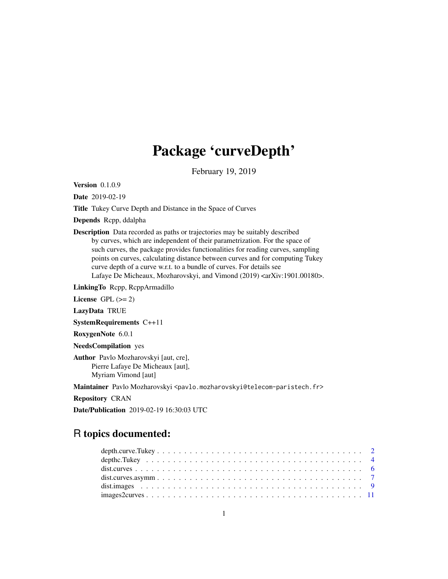## Package 'curveDepth'

February 19, 2019

Version 0.1.0.9

Date 2019-02-19

Title Tukey Curve Depth and Distance in the Space of Curves

Depends Rcpp, ddalpha

Description Data recorded as paths or trajectories may be suitably described by curves, which are independent of their parametrization. For the space of such curves, the package provides functionalities for reading curves, sampling points on curves, calculating distance between curves and for computing Tukey curve depth of a curve w.r.t. to a bundle of curves. For details see Lafaye De Micheaux, Mozharovskyi, and Vimond (2019) <arXiv:1901.00180>.

LinkingTo Rcpp, RcppArmadillo

License GPL  $(>= 2)$ 

LazyData TRUE

SystemRequirements C++11

RoxygenNote 6.0.1

NeedsCompilation yes

Author Pavlo Mozharovskyi [aut, cre], Pierre Lafaye De Micheaux [aut], Myriam Vimond [aut]

Maintainer Pavlo Mozharovskyi <pavlo.mozharovskyi@telecom-paristech.fr>

Repository CRAN

Date/Publication 2019-02-19 16:30:03 UTC

### R topics documented:

| $images2 curves \ldots \ldots \ldots \ldots \ldots \ldots \ldots \ldots \ldots \ldots \ldots \ldots \ldots 11$ |  |
|----------------------------------------------------------------------------------------------------------------|--|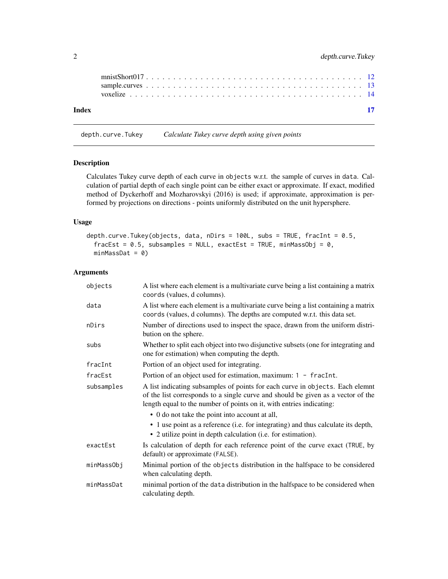<span id="page-1-0"></span>

| Index |  |  |  |  |  |  |  |  |  |  |  |  |  |  |  |  |  |  |
|-------|--|--|--|--|--|--|--|--|--|--|--|--|--|--|--|--|--|--|
|       |  |  |  |  |  |  |  |  |  |  |  |  |  |  |  |  |  |  |
|       |  |  |  |  |  |  |  |  |  |  |  |  |  |  |  |  |  |  |

depth.curve.Tukey *Calculate Tukey curve depth using given points*

#### Description

Calculates Tukey curve depth of each curve in objects w.r.t. the sample of curves in data. Calculation of partial depth of each single point can be either exact or approximate. If exact, modified method of Dyckerhoff and Mozharovskyi (2016) is used; if approximate, approximation is performed by projections on directions - points uniformly distributed on the unit hypersphere.

#### Usage

```
depth.curve.Tukey(objects, data, nDirs = 100L, subs = TRUE, fracInt = 0.5,
  frac{E5t}{100} = 0.5, subsamples = NULL, exactEst = TRUE, minMassObj = 0,
  minMassData = 0)
```
#### Arguments

| objects    | A list where each element is a multivariate curve being a list containing a matrix<br>coords (values, d columns).                                                                                                                         |
|------------|-------------------------------------------------------------------------------------------------------------------------------------------------------------------------------------------------------------------------------------------|
| data       | A list where each element is a multivariate curve being a list containing a matrix<br>coords (values, d columns). The depths are computed w.r.t. this data set.                                                                           |
| nDirs      | Number of directions used to inspect the space, drawn from the uniform distri-<br>bution on the sphere.                                                                                                                                   |
| subs       | Whether to split each object into two disjunctive subsets (one for integrating and<br>one for estimation) when computing the depth.                                                                                                       |
| fracInt    | Portion of an object used for integrating.                                                                                                                                                                                                |
| fracEst    | Portion of an object used for estimation, maximum: 1 - fracInt.                                                                                                                                                                           |
| subsamples | A list indicating subsamples of points for each curve in objects. Each elemnt<br>of the list corresponds to a single curve and should be given as a vector of the<br>length equal to the number of points on it, with entries indicating: |
|            | • 0 do not take the point into account at all,                                                                                                                                                                                            |
|            | • 1 use point as a reference (i.e. for integrating) and thus calculate its depth,<br>• 2 utilize point in depth calculation (i.e. for estimation).                                                                                        |
| exactEst   | Is calculation of depth for each reference point of the curve exact (TRUE, by<br>default) or approximate (FALSE).                                                                                                                         |
| minMassObj | Minimal portion of the objects distribution in the halfspace to be considered<br>when calculating depth.                                                                                                                                  |
| minMassDat | minimal portion of the data distribution in the halfspace to be considered when<br>calculating depth.                                                                                                                                     |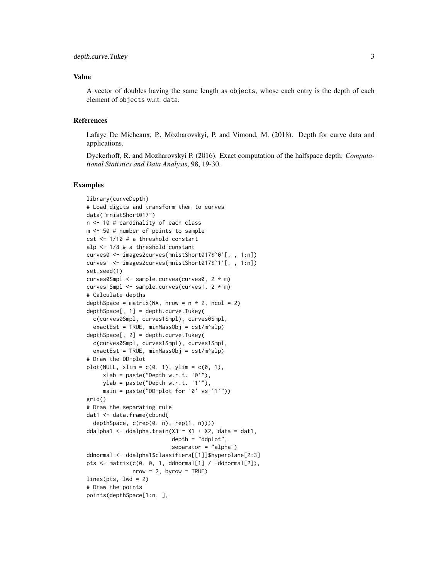#### Value

A vector of doubles having the same length as objects, whose each entry is the depth of each element of objects w.r.t. data.

#### References

Lafaye De Micheaux, P., Mozharovskyi, P. and Vimond, M. (2018). Depth for curve data and applications.

Dyckerhoff, R. and Mozharovskyi P. (2016). Exact computation of the halfspace depth. *Computational Statistics and Data Analysis*, 98, 19-30.

```
library(curveDepth)
# Load digits and transform them to curves
data("mnistShort017")
n <- 10 # cardinality of each class
m <- 50 # number of points to sample
cst <- 1/10 # a threshold constant
alp <- 1/8 # a threshold constant
curves0 <- images2curves(mnistShort017$`0`[, , 1:n])
curves1 <- images2curves(mnistShort017$`1`[, , 1:n])
set.seed(1)
curves0Smpl <- sample.curves(curves0, 2 * m)
curves1Smpl <- sample.curves(curves1, 2 * m)
# Calculate depths
depthSpace = matrix(NA, nrow = n \times 2, ncol = 2)
depthSpace[, 1] = depth.curve.Tukey(c(curves0Smpl, curves1Smpl), curves0Smpl,
  exactEst = TRUE, minMassObj = cst/m^alp)
depthSpace[, 2] = depth.curve.Tukey(
  c(curves0Smpl, curves1Smpl), curves1Smpl,
  exactEst = TRUE, minMassObj = cst/m^alphalp)# Draw the DD-plot
plot(NULL, xlim = c(0, 1), ylim = c(0, 1),xlab = paste("Depth w.r.t. '0'");ylab = paste("Depth w.r.t. '1'"),
     main = paste("DD-plot for '0' vs '1'"))
grid()
# Draw the separating rule
dat1 <- data.frame(cbind(
  depthSpace, c(rep(0, n), rep(1, n))))
ddalpha1 <- ddalpha.train(X3 \sim X1 + X2, data = dat1,
                          depth = "ddplot",separator = "alpha")
ddnormal <- ddalpha1$classifiers[[1]]$hyperplane[2:3]
pts \leq matrix(c(0, 0, 1, ddnormal[1] / -ddnormal[2]),
              nrow = 2, byrow = TRUE)
lines(pts, lwd = 2)
# Draw the points
points(depthSpace[1:n, ],
```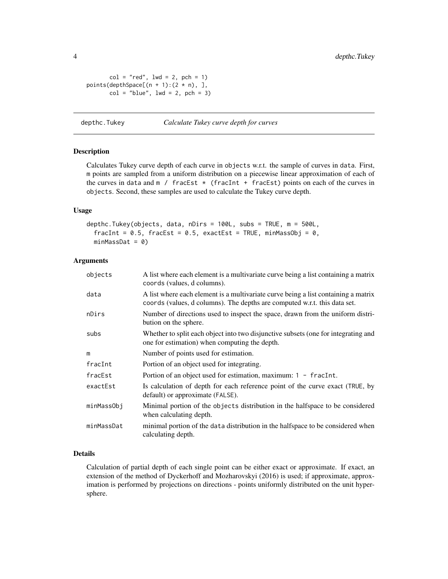```
col = "red", \text{ lwd} = 2, \text{ pch} = 1)points(depthSpace[(n + 1):(2 * n),],
         col = "blue", \text{ lwd} = 2, \text{ pch} = 3)
```
depthc.Tukey *Calculate Tukey curve depth for curves*

#### Description

Calculates Tukey curve depth of each curve in objects w.r.t. the sample of curves in data. First, m points are sampled from a uniform distribution on a piecewise linear approximation of each of the curves in data and  $m /$  fracEst  $*$  (fracInt + fracEst) points on each of the curves in objects. Second, these samples are used to calculate the Tukey curve depth.

#### Usage

```
depthc.Tukey(objects, data, nDirs = 100L, subs = TRUE, m = 500L,
  fracInt = 0.5, fracEst = 0.5, exactEst = TRUE, minMassObj = 0,
 minMassData = 0)
```
#### Arguments

| objects    | A list where each element is a multivariate curve being a list containing a matrix<br>coords (values, d columns).                                               |
|------------|-----------------------------------------------------------------------------------------------------------------------------------------------------------------|
| data       | A list where each element is a multivariate curve being a list containing a matrix<br>coords (values, d columns). The depths are computed w.r.t. this data set. |
| nDirs      | Number of directions used to inspect the space, drawn from the uniform distri-<br>bution on the sphere.                                                         |
| subs       | Whether to split each object into two disjunctive subsets (one for integrating and<br>one for estimation) when computing the depth.                             |
| m          | Number of points used for estimation.                                                                                                                           |
| fracInt    | Portion of an object used for integrating.                                                                                                                      |
| fracEst    | Portion of an object used for estimation, maximum: $1 - \text{fracInt}$ .                                                                                       |
| exactEst   | Is calculation of depth for each reference point of the curve exact (TRUE, by<br>default) or approximate (FALSE).                                               |
| minMassObj | Minimal portion of the objects distribution in the halfspace to be considered<br>when calculating depth.                                                        |
| minMassDat | minimal portion of the data distribution in the halfspace to be considered when<br>calculating depth.                                                           |

#### Details

Calculation of partial depth of each single point can be either exact or approximate. If exact, an extension of the method of Dyckerhoff and Mozharovskyi (2016) is used; if approximate, approximation is performed by projections on directions - points uniformly distributed on the unit hypersphere.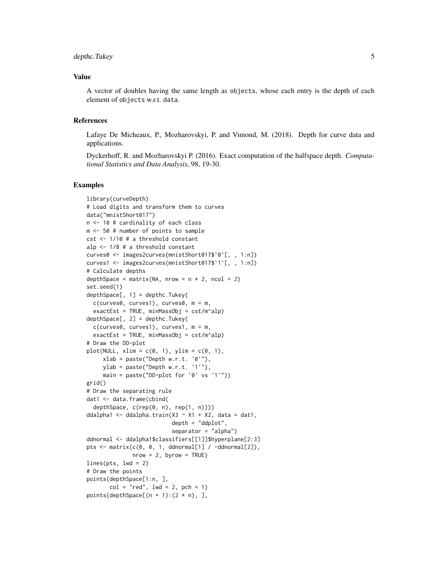#### depthc.Tukey 5

#### Value

A vector of doubles having the same length as objects, whose each entry is the depth of each element of objects w.r.t. data.

#### References

Lafaye De Micheaux, P., Mozharovskyi, P. and Vimond, M. (2018). Depth for curve data and applications.

Dyckerhoff, R. and Mozharovskyi P. (2016). Exact computation of the halfspace depth. *Computational Statistics and Data Analysis*, 98, 19-30.

```
library(curveDepth)
# Load digits and transform them to curves
data("mnistShort017")
n <- 10 # cardinality of each class
m <- 50 # number of points to sample
cst <- 1/10 # a threshold constant
alp <- 1/8 # a threshold constant
curves0 <- images2curves(mnistShort017$`0`[, , 1:n])
curves1 <- images2curves(mnistShort017$`1`[, , 1:n])
# Calculate depths
depthSpace = matrix(NA, nrow = n * 2, ncol = 2)
set.seed(1)
depthSpace[, 1] = depthC.Tukey(c(curves0, curves1), curves0, m = m,
  exactEst = TRUE, minMassObj = cst/m^alphalp)depthSpace[, 2] = depthc.Tukey(
  c(curves0, curves1), curves1, m = m,
  exactEst = TRUE, minMassObj = cst/m^alphalp)# Draw the DD-plot
plot(NULL, xlim = c(0, 1), ylim = c(0, 1),xlab = paste("Depth w.r.t. '0'"),
     ylab = paste("Depth w.r.t. '1'"),
     main = paste("DD-plot for '0' vs '1'"))
grid()
# Draw the separating rule
dat1 <- data.frame(cbind(
  depthSpace, c(rep(0, n), rep(1, n))))
ddalpha1 <- ddalpha.train(X3 \sim X1 + X2, data = dat1,
                          depth = "ddplot",
                           separator = "alpha")
ddnormal <- ddalpha1$classifiers[[1]]$hyperplane[2:3]
pts \leq matrix(c(0, 0, 1, ddnormal[1] / -ddnormal[2]),
              nrow = 2, byrow = TRUE)
lines(pts, lwd = 2)
# Draw the points
points(depthSpace[1:n, ],
       col = "red", \text{ lwd} = 2, \text{ pch} = 1)points(depthSpace[(n + 1):(2 * n),],
```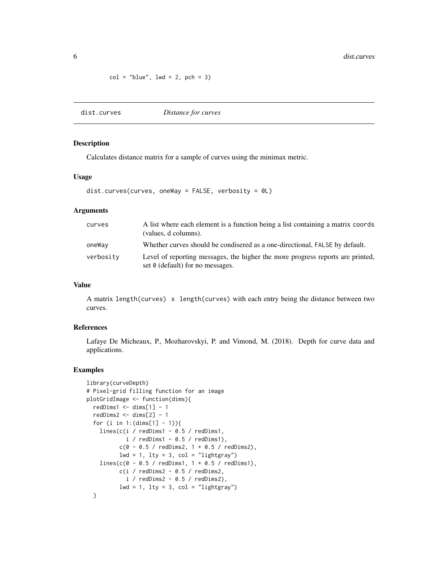<span id="page-5-0"></span> $col = "blue", \text{ lwd} = 2, \text{ pch} = 3)$ 

dist.curves *Distance for curves*

#### Description

Calculates distance matrix for a sample of curves using the minimax metric.

#### Usage

dist.curves(curves, oneWay = FALSE, verbosity = 0L)

#### Arguments

| curves    | A list where each element is a function being a list containing a matrix coords<br>(values, d columns).            |
|-----------|--------------------------------------------------------------------------------------------------------------------|
| oneWay    | Whether curves should be condisered as a one-directional, FALSE by default.                                        |
| verbosity | Level of reporting messages, the higher the more progress reports are printed,<br>set 0 (default) for no messages. |

#### Value

A matrix length(curves) x length(curves) with each entry being the distance between two curves.

#### References

Lafaye De Micheaux, P., Mozharovskyi, P. and Vimond, M. (2018). Depth for curve data and applications.

```
library(curveDepth)
# Pixel-grid filling function for an image
plotGridImage <- function(dims){
  redDims1 < - dims[1] - 1redDims2 < - dims[2] - 1for (i in 1: (dims[1] - 1)){
   lines(c(i / redDims1 - 0.5 / redDims1,
           i / redDims1 - 0.5 / redDims1),
          c(0 - 0.5 / redDims2, 1 + 0.5 / redDims2),1wd = 1, 1ty = 3, col = "lightgray"lines(c(0 - 0.5 / redDims1, 1 + 0.5 / redDims1),c(i / redDims2 - 0.5 / redDims2,i / redDims2 - 0.5 / redDims2,
         1wd = 1, 1ty = 3, col = "lightgray")
  }
```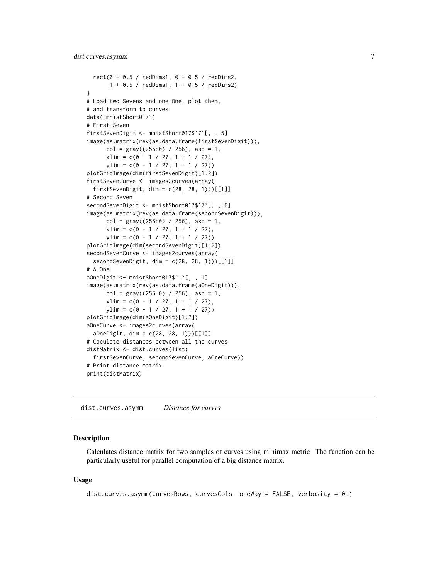#### <span id="page-6-0"></span>dist.curves.asymm 7

```
rect(0 - 0.5 / redDims1, 0 - 0.5 / redDims2,1 + 0.5 / redDims1, 1 + 0.5 / redDims2)
}
# Load two Sevens and one One, plot them,
# and transform to curves
data("mnistShort017")
# First Seven
firstSevenDigit <- mnistShort017$`7`[, , 5]
image(as.matrix(rev(as.data.frame(firstSevenDigit))),
     col = gray((255:0) / 256), asp = 1,
     xlim = c(0 - 1 / 27, 1 + 1 / 27),ylim = c(0 - 1 / 27, 1 + 1 / 27))plotGridImage(dim(firstSevenDigit)[1:2])
firstSevenCurve <- images2curves(array(
  firstSevenDigit, dim = c(28, 28, 1))[[1]]
# Second Seven
secondSevenDigit <- mnistShort017$`7`[, , 6]
image(as.matrix(rev(as.data.frame(secondSevenDigit))),
     col = gray((255:0) / 256), asp = 1,
      xlim = c(0 - 1 / 27, 1 + 1 / 27),ylim = c(0 - 1 / 27, 1 + 1 / 27))plotGridImage(dim(secondSevenDigit)[1:2])
secondSevenCurve <- images2curves(array(
 secondSevenDigit, dim = c(28, 28, 1))[[1]]
# A One
aOneDigit <- mnistShort017$`1`[, , 1]
image(as.matrix(rev(as.data.frame(aOneDigit))),
     col = gray((255:0) / 256), asp = 1,
     xlim = c(0 - 1 / 27, 1 + 1 / 27),ylim = c(0 - 1 / 27, 1 + 1 / 27))plotGridImage(dim(aOneDigit)[1:2])
aOneCurve <- images2curves(array(
 aOneDigit, dim = c(28, 28, 1)))[[1]]
# Caculate distances between all the curves
distMatrix <- dist.curves(list(
 firstSevenCurve, secondSevenCurve, aOneCurve))
# Print distance matrix
print(distMatrix)
```
dist.curves.asymm *Distance for curves*

#### Description

Calculates distance matrix for two samples of curves using minimax metric. The function can be particularly useful for parallel computation of a big distance matrix.

#### Usage

```
dist.curves.asymm(curvesRows, curvesCols, oneWay = FALSE, verbosity = 0L)
```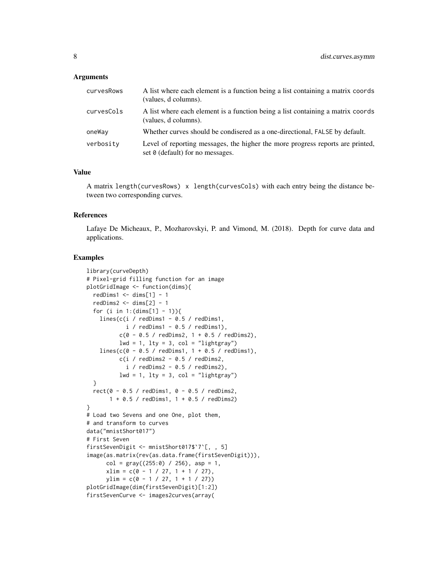#### Arguments

| curvesRows | A list where each element is a function being a list containing a matrix coords<br>(values, d columns).            |
|------------|--------------------------------------------------------------------------------------------------------------------|
| curvesCols | A list where each element is a function being a list containing a matrix coords<br>(values, d columns).            |
| oneWay     | Whether curves should be condisered as a one-directional, FALSE by default.                                        |
| verbosity  | Level of reporting messages, the higher the more progress reports are printed,<br>set 0 (default) for no messages. |

#### Value

A matrix length(curvesRows) x length(curvesCols) with each entry being the distance between two corresponding curves.

#### References

Lafaye De Micheaux, P., Mozharovskyi, P. and Vimond, M. (2018). Depth for curve data and applications.

```
library(curveDepth)
# Pixel-grid filling function for an image
plotGridImage <- function(dims){
  redDims1 \le dims[1] - 1
  redDims2 \le dims[2] - 1
  for (i in 1: (dims[1] - 1)){
    lines(c(i / redDims1 - 0.5 / redDims1,
            i / redDims1 - 0.5 / redDims1),
          c(0 - 0.5 / redDims2, 1 + 0.5 / redDims2),1wd = 1, 1ty = 3, col = "lightgray"lines(c(0 - 0.5 / redDims1, 1 + 0.5 / redDims1),c(i / redDims2 - 0.5 / redDims2,i / redDims2 - 0.5 / redDims2),
         1wd = 1, 1ty = 3, col = "lightgray"}
  rect(0 - 0.5 / redDims1, 0 - 0.5 / redDims2,1 + 0.5 / redDims1, 1 + 0.5 / redDims2)
}
# Load two Sevens and one One, plot them,
# and transform to curves
data("mnistShort017")
# First Seven
firstSevenDigit <- mnistShort017$`7`[, , 5]
image(as.matrix(rev(as.data.frame(firstSevenDigit))),
      col = gray((255:0) / 256), asp = 1,
      xlim = c(0 - 1 / 27, 1 + 1 / 27),ylim = c(0 - 1 / 27, 1 + 1 / 27))plotGridImage(dim(firstSevenDigit)[1:2])
firstSevenCurve <- images2curves(array(
```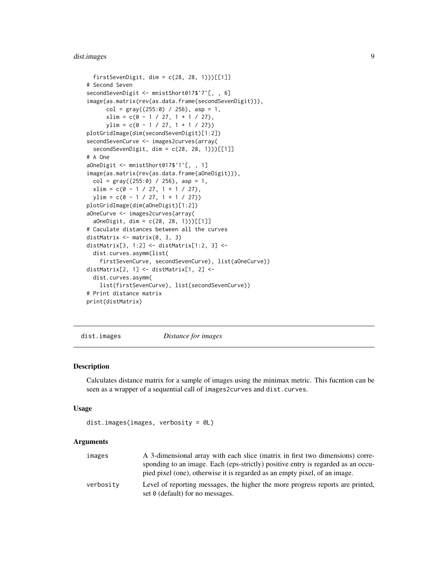#### <span id="page-8-0"></span>dist.images 9

```
firstSevenDigit, dim = c(28, 28, 1))[[1]]
# Second Seven
secondSevenDigit <- mnistShort017$'7'[, , 6]
image(as.matrix(rev(as.data.frame(secondSevenDigit))),
     col = gray((255:0) / 256), asp = 1,
     xlim = c(0 - 1 / 27, 1 + 1 / 27),ylim = c(0 - 1 / 27, 1 + 1 / 27))plotGridImage(dim(secondSevenDigit)[1:2])
secondSevenCurve <- images2curves(array(
 secondSevenDigit, dim = c(28, 28, 1))[[1]]
# A One
aOneDigit <- mnistShort017$`1`[, , 1]
image(as.matrix(rev(as.data.frame(aOneDigit))),
 col = gray((255:0) / 256), asp = 1,
 xlim = c(0 - 1 / 27, 1 + 1 / 27),ylim = c(0 - 1 / 27, 1 + 1 / 27))plotGridImage(dim(aOneDigit)[1:2])
aOneCurve <- images2curves(array(
 aOneDigit, dim = c(28, 28, 1)))[[1]]
# Caculate distances between all the curves
distMatrix <- matrix(0, 3, 3)
distMatrix[3, 1:2] <- distMatrix[1:2, 3] <-
 dist.curves.asymm(list(
   firstSevenCurve, secondSevenCurve), list(aOneCurve))
distMatrix[2, 1] <- distMatrix[1, 2] <-
 dist.curves.asymm(
   list(firstSevenCurve), list(secondSevenCurve))
# Print distance matrix
print(distMatrix)
```
dist.images *Distance for images*

#### **Description**

Calculates distance matrix for a sample of images using the minimax metric. This fucntion can be seen as a wrapper of a sequential call of images2curves and dist.curves.

#### Usage

```
dist.images(images, verbosity = 0L)
```
#### Arguments

| images    | A 3-dimensional array with each slice (matrix in first two dimensions) corre-    |
|-----------|----------------------------------------------------------------------------------|
|           | sponding to an image. Each (eps-strictly) positive entry is regarded as an occu- |
|           | pied pixel (one), otherwise it is regarded as an empty pixel, of an image.       |
| verbosity | Level of reporting messages, the higher the more progress reports are printed,   |
|           | set 0 (default) for no messages.                                                 |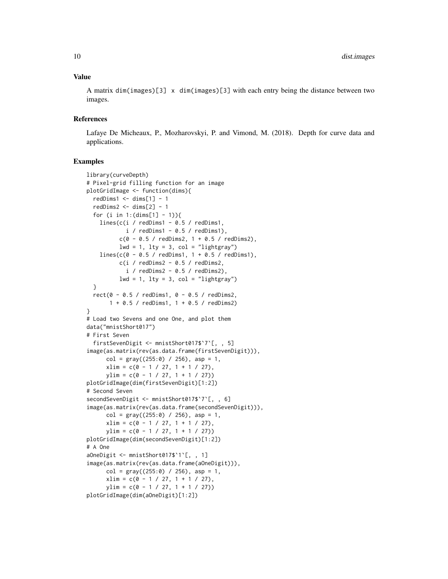#### Value

A matrix dim(images)[3] x dim(images)[3] with each entry being the distance between two images.

#### References

Lafaye De Micheaux, P., Mozharovskyi, P. and Vimond, M. (2018). Depth for curve data and applications.

```
library(curveDepth)
# Pixel-grid filling function for an image
plotGridImage <- function(dims){
 redDims1 \le- dims[1] - 1
 redDims2 \leq dims[2] - 1
 for (i in 1: (dims[1] - 1)){
   lines(c(i / redDims1 - 0.5 / redDims1,i / redDims1 - 0.5 / redDims1),
          c(0 - 0.5 / redDims2, 1 + 0.5 / redDims2),lwd = 1, lty = 3, col = "lightgray")lines(c(0 - 0.5 / redDims1, 1 + 0.5 / redDims1),c(i / redDims2 - 0.5 / redDims2,i / redDims2 - 0.5 / redDims2),
          lwd = 1, lty = 3, col = "lightgray")
 }
 rect(0 - 0.5 / redDims1, 0 - 0.5 / redDims2,
      1 + 0.5 / redDims1, 1 + 0.5 / redDims2)
}
# Load two Sevens and one One, and plot them
data("mnistShort017")
# First Seven
 firstSevenDigit <- mnistShort017$`7`[, , 5]
image(as.matrix(rev(as.data.frame(firstSevenDigit))),
     col = gray((255:0) / 256), asp = 1,
     xlim = c(0 - 1 / 27, 1 + 1 / 27),ylim = c(0 - 1 / 27, 1 + 1 / 27))plotGridImage(dim(firstSevenDigit)[1:2])
# Second Seven
secondSevenDigit <- mnistShort017$`7`[, , 6]
image(as.matrix(rev(as.data.frame(secondSevenDigit))),
     col = gray((255:0) / 256), asp = 1,
     xlim = c(0 - 1 / 27, 1 + 1 / 27),ylim = c(0 - 1 / 27, 1 + 1 / 27))plotGridImage(dim(secondSevenDigit)[1:2])
# A One
aOneDigit <- mnistShort017$`1`[, , 1]
image(as.matrix(rev(as.data.frame(aOneDigit))),
     col = gray((255:0) / 256), asp = 1,
     xlim = c(0 - 1 / 27, 1 + 1 / 27),ylim = c(0 - 1 / 27, 1 + 1 / 27))plotGridImage(dim(aOneDigit)[1:2])
```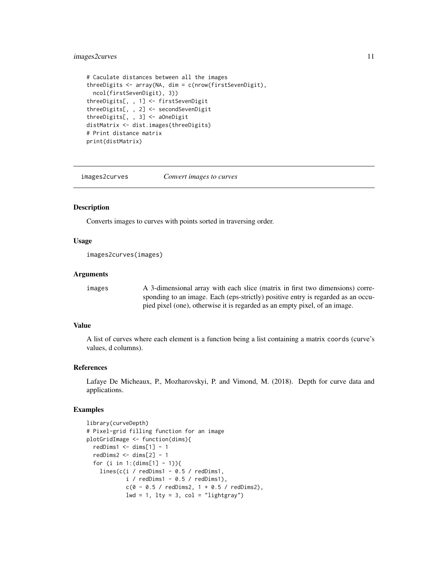#### <span id="page-10-0"></span>images2curves 11

```
# Caculate distances between all the images
threeDigits <- array(NA, dim = c(nrow(firstSevenDigit),
 ncol(firstSevenDigit), 3))
threeDigits[, , 1] <- firstSevenDigit
threeDigits[, , 2] <- secondSevenDigit
threeDigits[, , 3] <- aOneDigit
distMatrix <- dist.images(threeDigits)
# Print distance matrix
print(distMatrix)
```
images2curves *Convert images to curves*

#### Description

Converts images to curves with points sorted in traversing order.

#### Usage

```
images2curves(images)
```
#### Arguments

images A 3-dimensional array with each slice (matrix in first two dimensions) corresponding to an image. Each (eps-strictly) positive entry is regarded as an occupied pixel (one), otherwise it is regarded as an empty pixel, of an image.

#### Value

A list of curves where each element is a function being a list containing a matrix coords (curve's values, d columns).

#### References

Lafaye De Micheaux, P., Mozharovskyi, P. and Vimond, M. (2018). Depth for curve data and applications.

```
library(curveDepth)
# Pixel-grid filling function for an image
plotGridImage <- function(dims){
 redDims1 < - dims[1] - 1redDims2 < - dims[2] - 1for (i in 1: (dims[1] - 1)){
   lines(c(i / redDims1 - 0.5 / redDims1,i / redDims1 - 0.5 / redDims1),
           c(0 - 0.5 / redDims2, 1 + 0.5 / redDims2),lwd = 1, lty = 3, col = "lightgray"
```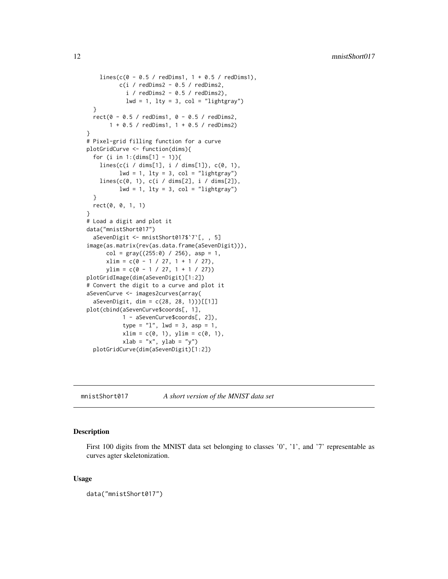```
lines(c(0 - 0.5 / redDims1, 1 + 0.5 / redDims1),c(i / redDims2 - 0.5 / redDims2,i / redDims2 - 0.5 / redDims2),
            lwd = 1, lty = 3, col = "lightgray"}
 rect(0 - 0.5 / redDims1, 0 - 0.5 / redDims2,
      1 + 0.5 / redDims1, 1 + 0.5 / redDims2)
}
# Pixel-grid filling function for a curve
plotGridCurve <- function(dims){
 for (i in 1: (dims[1] - 1)){
    lines(c(i / dims[1], i / dims[1]), c(0, 1),
         lwd = 1, lty = 3, col = "lightgray"lines(c(0, 1), c(i / dims[2], i / dims[2]),
         lwd = 1, lty = 3, col = "lightgray")
 }
 rect(0, 0, 1, 1)
}
# Load a digit and plot it
data("mnistShort017")
 aSevenDigit <- mnistShort017$`7`[, , 5]
image(as.matrix(rev(as.data.frame(aSevenDigit))),
     col = gray((255:0) / 256), asp = 1,
     xlim = c(0 - 1 / 27, 1 + 1 / 27),ylim = c(0 - 1 / 27, 1 + 1 / 27))plotGridImage(dim(aSevenDigit)[1:2])
# Convert the digit to a curve and plot it
aSevenCurve <- images2curves(array(
 aSevenDigit, dim = c(28, 28, 1)))[[1]]
plot(cbind(aSevenCurve$coords[, 1],
          1 - aSevenCurve$coords[, 2]),
           type = "1", lwd = 3, asp = 1,
           xlim = c(0, 1), ylim = c(0, 1),xlab = "x", ylab = "y")
 plotGridCurve(dim(aSevenDigit)[1:2])
```
mnistShort017 *A short version of the MNIST data set*

#### Description

First 100 digits from the MNIST data set belonging to classes '0', '1', and '7' representable as curves agter skeletonization.

#### Usage

```
data("mnistShort017")
```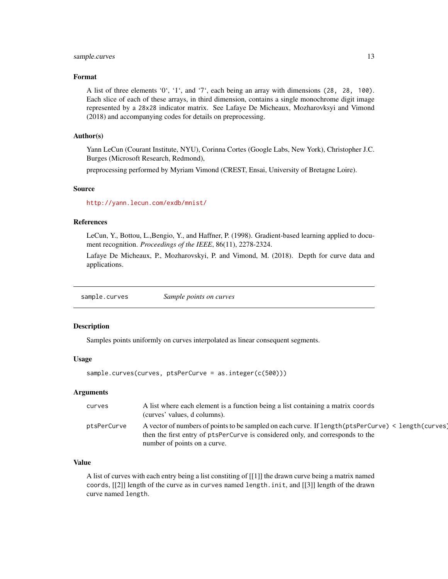#### <span id="page-12-0"></span>sample.curves 13

#### Format

A list of three elements '0', '1', and '7', each being an array with dimensions (28, 28, 100). Each slice of each of these arrays, in third dimension, contains a single monochrome digit image represented by a 28x28 indicator matrix. See Lafaye De Micheaux, Mozharovksyi and Vimond (2018) and accompanying codes for details on preprocessing.

#### Author(s)

Yann LeCun (Courant Institute, NYU), Corinna Cortes (Google Labs, New York), Christopher J.C. Burges (Microsoft Research, Redmond),

preprocessing performed by Myriam Vimond (CREST, Ensai, University of Bretagne Loire).

#### Source

<http://yann.lecun.com/exdb/mnist/>

#### References

LeCun, Y., Bottou, L.,Bengio, Y., and Haffner, P. (1998). Gradient-based learning applied to document recognition. *Proceedings of the IEEE*, 86(11), 2278-2324.

Lafaye De Micheaux, P., Mozharovskyi, P. and Vimond, M. (2018). Depth for curve data and applications.

sample.curves *Sample points on curves*

#### Description

Samples points uniformly on curves interpolated as linear consequent segments.

#### Usage

```
sample.curves(curves, ptsPerCurve = as.integer(c(500)))
```
#### Arguments

| curves      | A list where each element is a function being a list containing a matrix coords<br>(curves' values, d columns).                                                                                                        |
|-------------|------------------------------------------------------------------------------------------------------------------------------------------------------------------------------------------------------------------------|
| ptsPerCurve | A vector of numbers of points to be sampled on each curve. If length (ptsPerCurve) < length (curves)<br>then the first entry of ptsPerCurve is considered only, and corresponds to the<br>number of points on a curve. |

#### Value

A list of curves with each entry being a list constiting of [[1]] the drawn curve being a matrix named coords, [[2]] length of the curve as in curves named length.init, and [[3]] length of the drawn curve named length.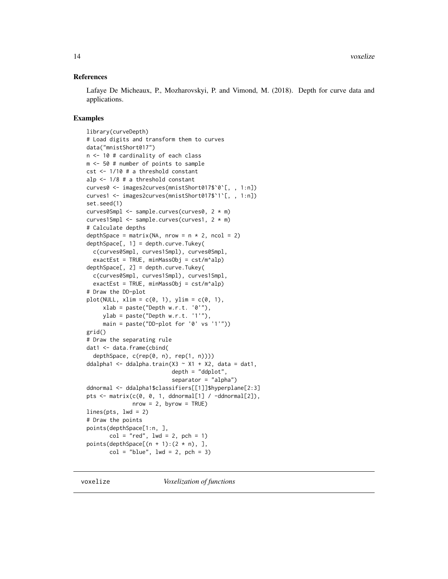#### <span id="page-13-0"></span>References

Lafaye De Micheaux, P., Mozharovskyi, P. and Vimond, M. (2018). Depth for curve data and applications.

#### Examples

```
library(curveDepth)
# Load digits and transform them to curves
data("mnistShort017")
n <- 10 # cardinality of each class
m <- 50 # number of points to sample
cst <- 1/10 # a threshold constant
alp <- 1/8 # a threshold constant
curves0 <- images2curves(mnistShort017$`0`[, , 1:n])
curves1 <- images2curves(mnistShort017$`1`[, , 1:n])
set.seed(1)
curves0Smpl <- sample.curves(curves0, 2 * m)
curves1Smpl <- sample.curves(curves1, 2 * m)
# Calculate depths
depthSpace = matrix(NA, nrow = n * 2, ncol = 2)
depthSpace[, 1] = depth.curve.Tukey(
  c(curves0Smpl, curves1Smpl), curves0Smpl,
  exactEst = TRUE, minMassObj = cst/m^alphalp)depthSpace[, 2] = depth.curve.Tukey(
  c(curves0Smpl, curves1Smpl), curves1Smpl,
  exactEst = TRUE, minMassObj = cst/m^{\land}alp)
# Draw the DD-plot
plot(NULL, xlim = c(0, 1), ylim = c(0, 1),
     xlab = paste("Depth w.r.t. '0'");ylab = paste("Depth w.r.t. '1'"),
     main = paste("DD-plot for '0' vs '1'"))
grid()
# Draw the separating rule
dat1 <- data.frame(cbind(
  depthSpace, c(rep(0, n), rep(1, n))))
ddalpha1 <- ddalpha.train(X3 \sim X1 + X2, data = dat1,
                           depth = "ddplot",
                           separator = "alpha")
ddnormal <- ddalpha1$classifiers[[1]]$hyperplane[2:3]
pts \leq matrix(c(0, 0, 1, ddnormal[1] / -ddnormal[2]),
              nrow = 2, byrow = TRUElines(pts, lwd = 2)# Draw the points
points(depthSpace[1:n, ],
       col = "red", \text{ lwd} = 2, \text{ pch} = 1)points(depthSpace[(n + 1):(2 * n), ],
       col = "blue", \text{ lwd} = 2, \text{ pch} = 3)
```
voxelize *Voxelization of functions*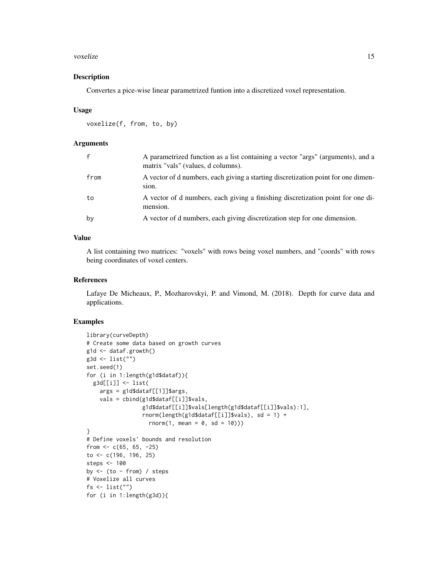#### voxelize 15

#### Description

Convertes a pice-wise linear parametrized funtion into a discretized voxel representation.

#### Usage

```
voxelize(f, from, to, by)
```
#### Arguments

| $\mathbf{f}$ | A parametrized function as a list containing a vector "args" (arguments), and a<br>matrix "vals" (values, d columns). |
|--------------|-----------------------------------------------------------------------------------------------------------------------|
| from         | A vector of d numbers, each giving a starting discretization point for one dimen-<br>sion.                            |
| to           | A vector of d numbers, each giving a finishing discretization point for one di-<br>mension.                           |
| bv           | A vector of d numbers, each giving discretization step for one dimension.                                             |

#### Value

A list containing two matrices: "voxels" with rows being voxel numbers, and "coords" with rows being coordinates of voxel centers.

#### References

Lafaye De Micheaux, P., Mozharovskyi, P. and Vimond, M. (2018). Depth for curve data and applications.

```
library(curveDepth)
# Create some data based on growth curves
g1d \leftarrow dataf.growth()g3d <- list("")
set.seed(1)
for (i in 1:length(g1d$dataf)){
  g3d[[i]] <- list(
   args = g1d$dataf[[1]]$args,vals = cbind(g1d$dataf[[i]]$vals,
                 g1d$dataf[[i]]$vals[length(g1d$dataf[[i]]$vals):1],
                 rnorm(length(g1d$dataf[[i]]$vals), sd = 1) +
                   rnorm(1, mean = 0, sd = 10))}
# Define voxels' bounds and resolution
from <- c(65, 65, -25)
to <- c(196, 196, 25)
steps <- 100
by <- (to - from) / steps
# Voxelize all curves
fs \leftarrow list("")
for (i in 1:length(g3d)){
```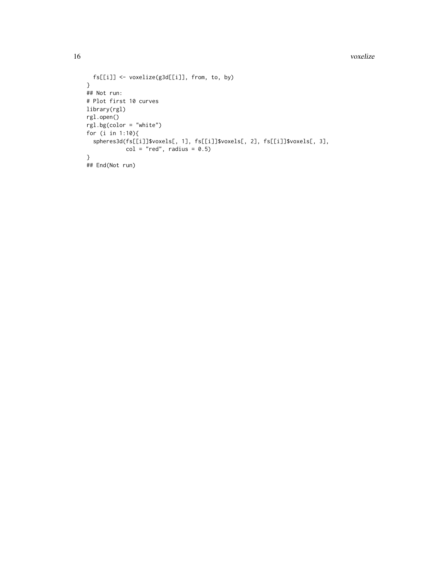16 voxelize

```
fs[[i]] <- voxelize(g3d[[i]], from, to, by)
}
## Not run:
# Plot first 10 curves
library(rgl)
rgl.open()
rgl.bg(color = "white")
for (i in 1:10){
  spheres3d(fs[[i]]$voxels[, 1], fs[[i]]$voxels[, 2], fs[[i]]$voxels[, 3],
           col = "red", radius = 0.5)}
## End(Not run)
```